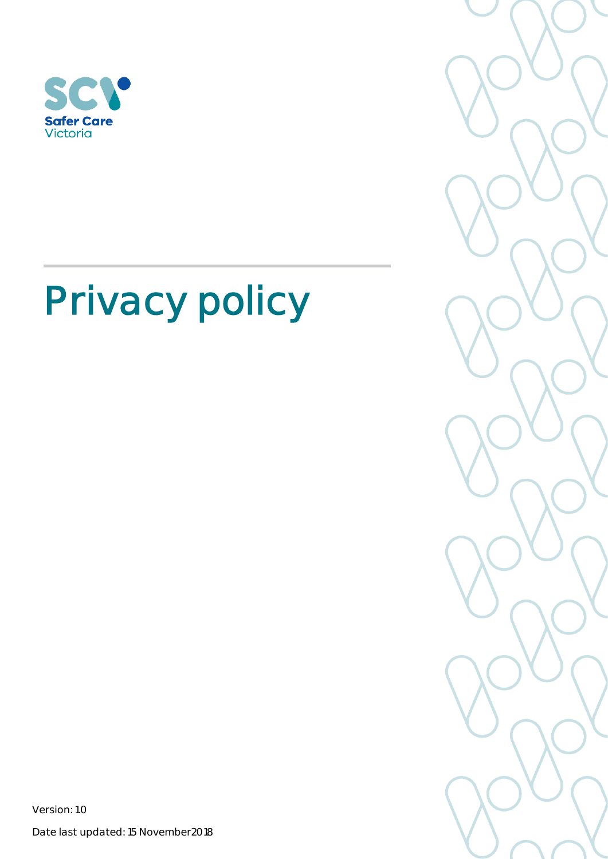



Version: 1.0

Date last updated: 15 November2018

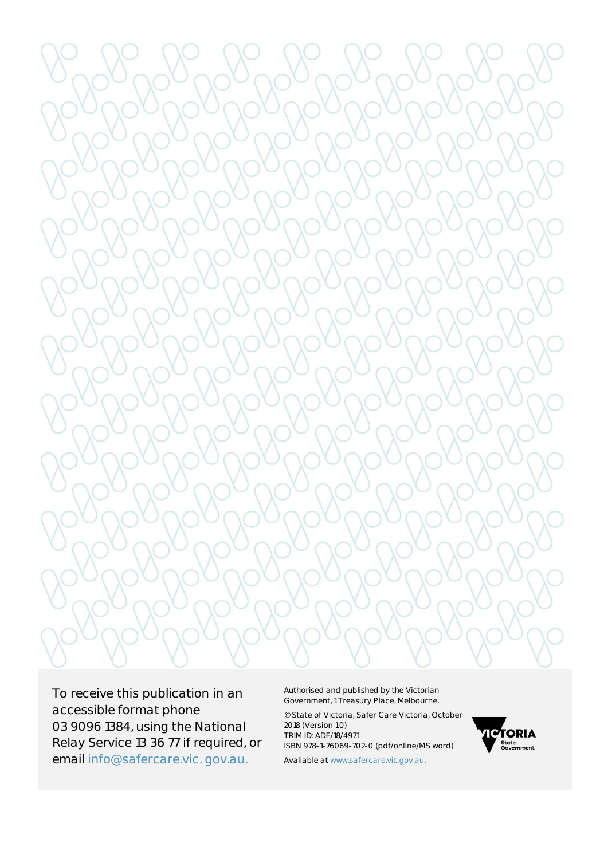

To receive this publication in an accessible format phone 03 9096 1384, using the National Relay Service 13 36 77 if required, or email [info@safercare.vic.](mailto:info@safercare.vic) gov.au.

Authorised and published by the Victorian Government, 1 Treasury Place, Melbourne.

© State of Victoria, Safer Care Victoria, October 2018 (Version 1.0) TRIM ID: ADF/18/4971 ISBN 978-1-76069-702-0 (pdf/online/MS word)



Available a[t www.safercare.vic.g](http://www.safercare.vic/)ov.au.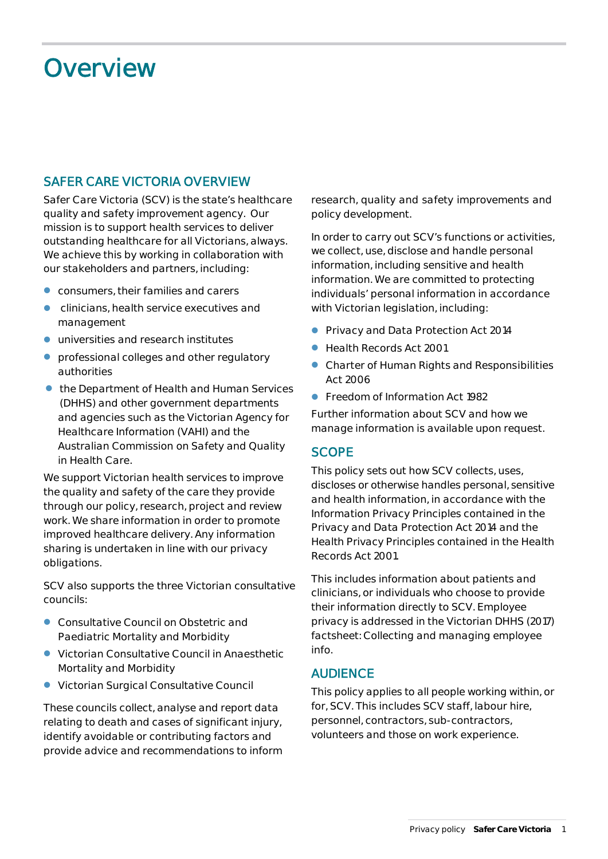# **Overview**

# **SAFER CARE VICTORIA OVERVIEW**

Safer Care Victoria (SCV) is the state's healthcare quality and safety improvement agency. Our mission is to support health services to deliver outstanding healthcare for all Victorians, always. We achieve this by working in collaboration with our stakeholders and partners, including:

- consumers, their families and carers
- clinicians, health service executives and management
- $\bullet$  universities and research institutes
- professional colleges and other regulatory authorities
- the Department of Health and Human Services (DHHS) and other government departments and agencies such as the Victorian Agency for Healthcare Information (VAHI) and the Australian Commission on Safety and Quality in Health Care.

We support Victorian health services to improve the quality and safety of the care they provide through our policy, research, project and review work. We share information in order to promote improved healthcare delivery. Any information sharing is undertaken in line with our privacy obligations.

SCV also supports the three Victorian consultative councils:

- Consultative Council on Obstetric and Paediatric Mortality and Morbidity
- Victorian Consultative Council in Anaesthetic Mortality and Morbidity
- Victorian Surgical Consultative Council

These councils collect, analyse and report data relating to death and cases of significant injury, identify avoidable or contributing factors and provide advice and recommendations to inform research, quality and safety improvements and policy development.

In order to carry out SCV's functions or activities, we collect, use, disclose and handle personal information, including sensitive and health information. We are committed to protecting individuals' personal information in accordance with Victorian legislation, including:

- **[Privacy and Data Protection Act 2014](http://www8.austlii.edu.au/cgi-bin/viewdb/au/legis/vic/num_act/padpa201460o2014317/)**
- Health Records Act 2001
- Charter of Human Rights and Responsibilities Act 2006
- Freedom of Information Act 1982

Further information about SCV and how we manage information is available upon request.

#### **SCOPE**

This policy sets out how SCV collects, uses, discloses or otherwise handles personal, sensitive and health information, in accordance with the Information Privacy Principles contained in the *Privacy and Data Protection Act 2014* and the Health Privacy Principles contained in the *Health Records Act 2001.*

This includes information about patients and clinicians, or individuals who choose to provide their information directly to SCV. Employee privacy is addressed in the Victorian DHHS (2017) factsheet: *Collecting and managing employee info.*

#### **AUDIENCE**

This policy applies to all people working within, or for, SCV. This includes SCV staff, labour hire, personnel, contractors, sub-contractors, volunteers and those on work experience.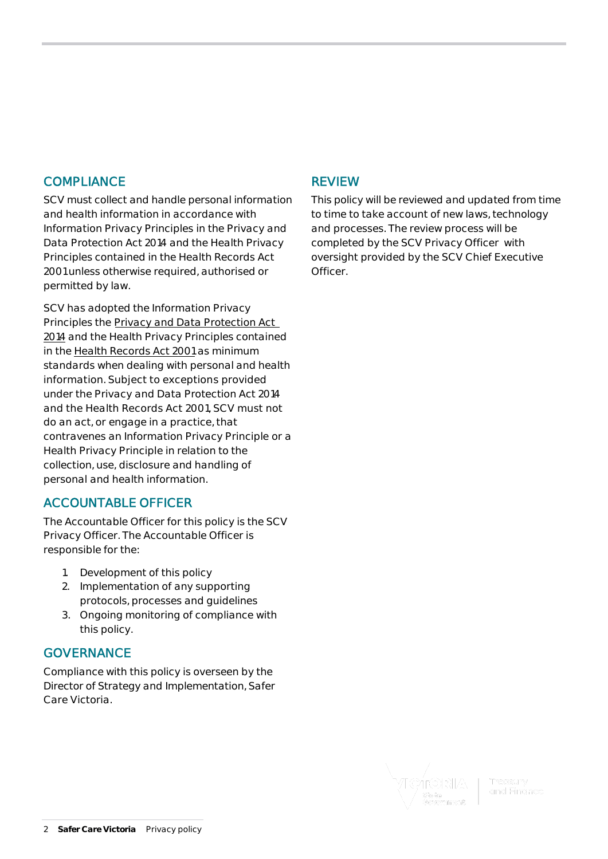#### **COMPLIANCE**

SCV must collect and handle personal information and health information in accordance with Information Privacy Principles in the *Privacy and Data Protection Act 2014* and the Health Privacy Principles contained in the *Health Records Act 2001* unless otherwise required, authorised or permitted by law.

SCV has adopted the Information Privacy Principles the *Privacy and Data Protection Act 2014* and the Health Privacy Principles contained in the *Health Records Act 2001* as minimum standards when dealing with personal and health information. Subject to exceptions provided under the *Privacy and Data Protection Act 2014*  and the *Health Records Act 2001*, SCV must not do an act, or engage in a practice, that contravenes an Information Privacy Principle or a Health Privacy Principle in relation to the collection, use, disclosure and handling of personal and health information.

# **ACCOUNTABLE OFFICER**

The Accountable Officer for this policy is the SCV Privacy Officer. The Accountable Officer is responsible for the:

- 1. Development of this policy
- 2. Implementation of any supporting protocols, processes and guidelines
- 3. Ongoing monitoring of compliance with this policy.

#### **GOVERNANCE**

Compliance with this policy is overseen by the Director of Strategy and Implementation, Safer Care Victoria.

# **REVIEW**

This policy will be reviewed and updated from time to time to take account of new laws, technology and processes. The review process will be completed by the SCV Privacy Officer with oversight provided by the SCV Chief Executive Officer.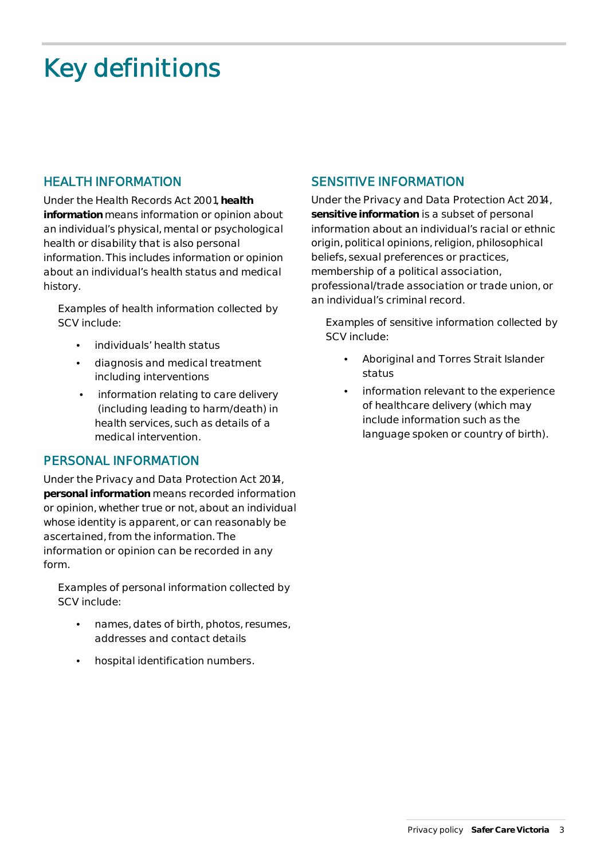# **Key definitions**

# **HEALTH INFORMATION**

Under the *Health Records Act 2001*, *health information* means information or opinion about an individual's physical, mental or psychological health or disability that is also personal information. This includes information or opinion about an individual's health status and medical history.

Examples of health information collected by SCV include:

- individuals' health status
- diagnosis and medical treatment including interventions
- information relating to care delivery (including leading to harm/death) in health services, such as details of a medical intervention.

#### **PERSONAL INFORMATION**

Under the *Privacy and Data Protection Act 2014*, *personal information* means recorded information or opinion, whether true or not, about an individual whose identity is apparent, or can reasonably be ascertained, from the information. The information or opinion can be recorded in any form.

Examples of personal information collected by SCV include:

- names, dates of birth, photos, resumes, addresses and contact details
- hospital identification numbers.

# **SENSITIVE INFORMATION**

Under the *Privacy and Data Protection Act 2014*, *sensitive information* is a subset of personal information about an individual's racial or ethnic origin, political opinions, religion, philosophical beliefs, sexual preferences or practices, membership of a political association, professional/trade association or trade union, or an individual's criminal record.

Examples of sensitive information collected by SCV include:

- Aboriginal and Torres Strait Islander status
- information relevant to the experience of healthcare delivery (which may include information such as the language spoken or country of birth).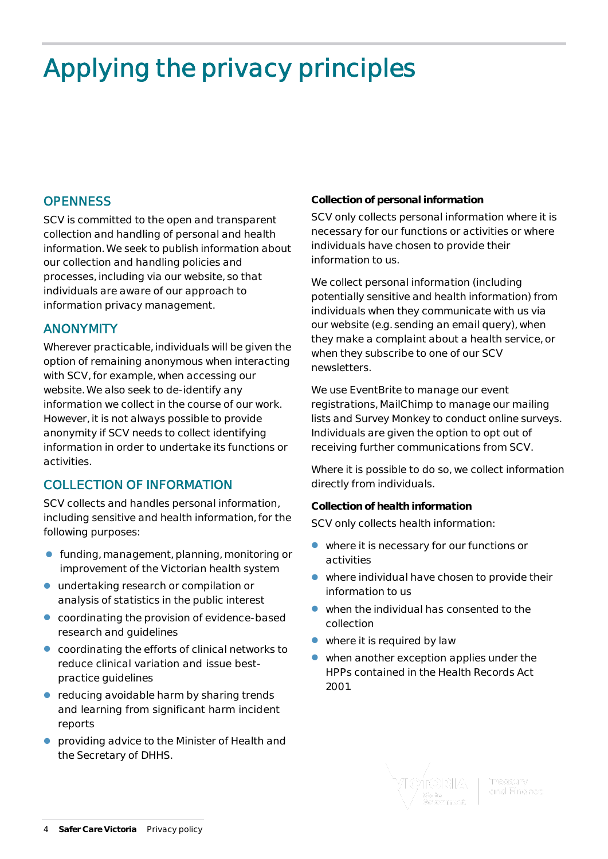# **Applying the privacy principles**

# **OPENNESS**

SCV is committed to the open and transparent collection and handling of personal and health information. We seek to publish information about our collection and handling policies and processes, including via our website, so that individuals are aware of our approach to information privacy management.

#### **ANONYMITY**

Wherever practicable, individuals will be given the option of remaining anonymous when interacting with SCV, for example, when accessing our website. We also seek to de-identify any information we collect in the course of our work. However, it is not always possible to provide anonymity if SCV needs to collect identifying information in order to undertake its functions or activities.

# **COLLECTION OF INFORMATION**

SCV collects and handles personal information, including sensitive and health information, for the following purposes:

- funding, management, planning, monitoring or improvement of the Victorian health system
- undertaking research or compilation or analysis of statistics in the public interest
- coordinating the provision of evidence-based research and guidelines
- coordinating the efforts of clinical networks to reduce clinical variation and issue bestpractice guidelines
- reducing avoidable harm by sharing trends and learning from significant harm incident reports
- providing advice to the Minister of Health and the Secretary of DHHS.

#### **Collection of personal information**

SCV only collects personal information where it is necessary for our functions or activities or where individuals have chosen to provide their information to us.

We collect personal information (including potentially sensitive and health information) from individuals when they communicate with us via our website (e.g. sending an email query), when they make a complaint about a health service, or when they subscribe to one of our SCV newsletters.

We use EventBrite to manage our event registrations, MailChimp to manage our mailing lists and Survey Monkey to conduct online surveys. Individuals are given the option to opt out of receiving further communications from SCV.

Where it is possible to do so, we collect information directly from individuals.

#### **Collection of health information**

SCV only collects health information:

- where it is necessary for our functions or activities
- where individual have chosen to provide their information to us
- when the individual has consented to the collection
- where it is required by law
- when another exception applies under the HPPs contained in the Health Records Act 2001.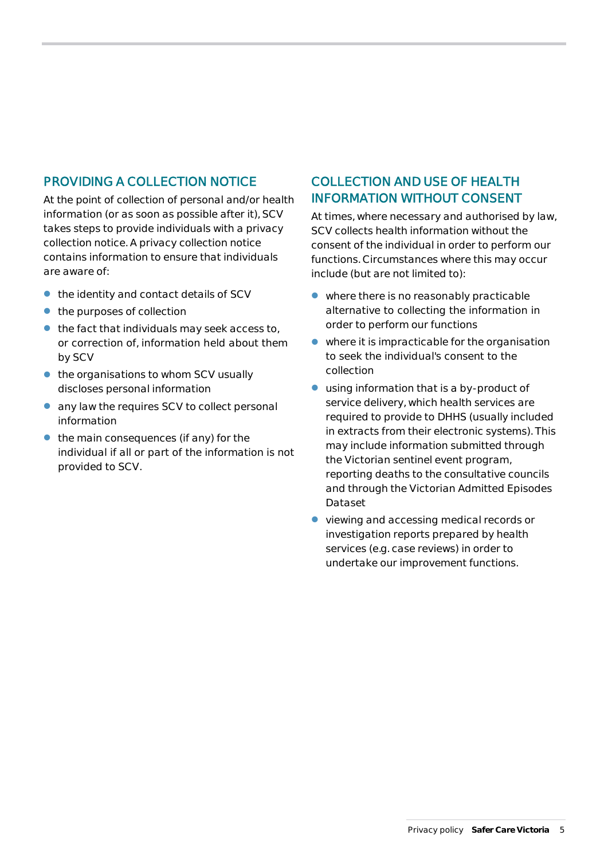# **PROVIDING A COLLECTION NOTICE**

At the point of collection of personal and/or health information (or as soon as possible after it), SCV takes steps to provide individuals with a privacy collection notice. A privacy collection notice contains information to ensure that individuals are aware of:

- the identity and contact details of SCV
- the purposes of collection
- $\bullet$  the fact that individuals may seek access to, or correction of, information held about them by SCV
- $\bullet$  the organisations to whom SCV usually discloses personal information
- any law the requires SCV to collect personal information
- the main consequences (if any) for the individual if all or part of the information is not provided to SCV.

# **COLLECTION AND USE OF HEALTH INFORMATION WITHOUT CONSENT**

At times, where necessary and authorised by law, SCV collects health information without the consent of the individual in order to perform our functions. Circumstances where this may occur include (but are not limited to):

- where there is no reasonably practicable alternative to collecting the information in order to perform our functions
- where it is impracticable for the organisation to seek the individual's consent to the collection
- using information that is a by-product of service delivery, which health services are required to provide to DHHS (usually included in extracts from their electronic systems). This may include information submitted through the Victorian sentinel event program, reporting deaths to the consultative councils and through the Victorian Admitted Episodes Dataset
- viewing and accessing medical records or investigation reports prepared by health services (e.g. case reviews) in order to undertake our improvement functions.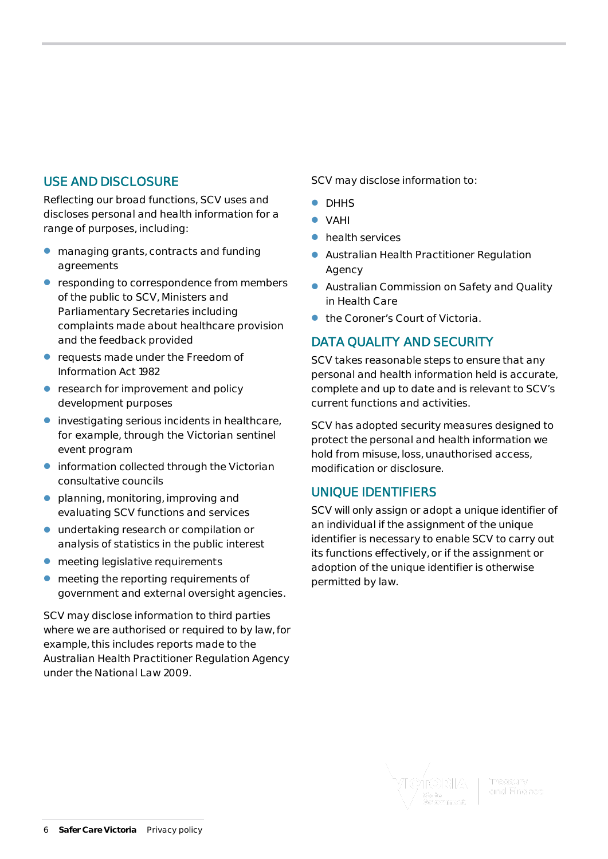# **USE AND DISCLOSURE**

Reflecting our broad functions, SCV uses and discloses personal and health information for a range of purposes, including:

- managing grants, contracts and funding agreements
- **•** responding to correspondence from members of the public to SCV, Ministers and Parliamentary Secretaries including complaints made about healthcare provision and the feedback provided
- requests made under the *Freedom of Information Act 1982*
- **•** research for improvement and policy development purposes
- investigating serious incidents in healthcare, for example, through the Victorian sentinel event program
- information collected through the Victorian consultative councils
- **•** planning, monitoring, improving and evaluating SCV functions and services
- undertaking research or compilation or analysis of statistics in the public interest
- $\bullet$  meeting legislative requirements
- meeting the reporting requirements of government and external oversight agencies.

SCV may disclose information to third parties where we are authorised or required to by law, for example, this includes reports made to the Australian Health Practitioner Regulation Agency under the *National Law 2009.*

SCV may disclose information to:

- DHHS
- VAHI
- **•** health services
- Australian Health Practitioner Regulation Agency
- Australian Commission on Safety and Quality in Health Care
- the Coroner's Court of Victoria.

# **DATA QUALITY AND SECURITY**

SCV takes reasonable steps to ensure that any personal and health information held is accurate, complete and up to date and is relevant to SCV's current functions and activities.

SCV has adopted security measures designed to protect the personal and health information we hold from misuse, loss, unauthorised access, modification or disclosure.

#### **UNIQUE IDENTIFIERS**

SCV will only assign or adopt a unique identifier of an individual if the assignment of the unique identifier is necessary to enable SCV to carry out its functions effectively, or if the assignment or adoption of the unique identifier is otherwise permitted by law.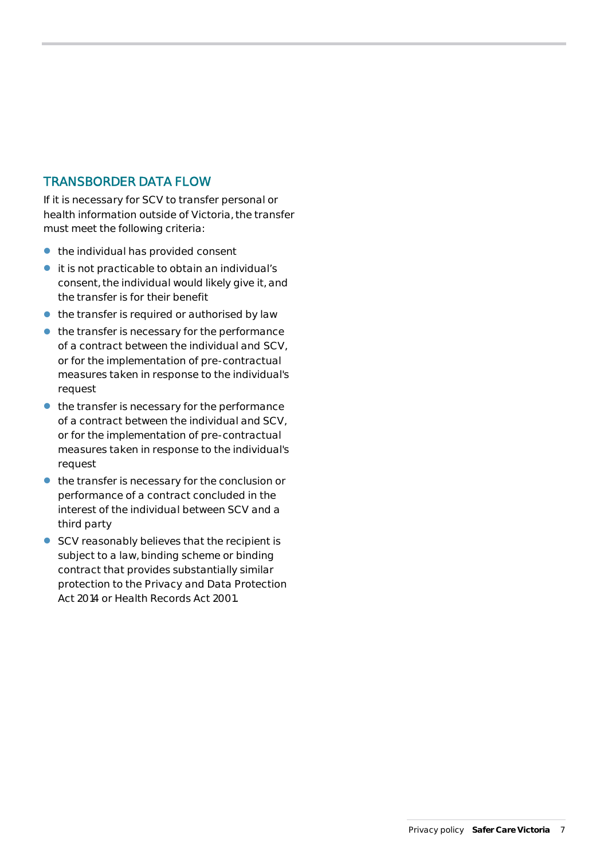### **TRANSBORDER DATA FLOW**

If it is necessary for SCV to transfer personal or health information outside of Victoria, the transfer must meet the following criteria:

- $\bullet$  the individual has provided consent
- it is not practicable to obtain an individual's consent, the individual would likely give it, and the transfer is for their benefit
- $\bullet$  the transfer is required or authorised by law
- $\bullet$  the transfer is necessary for the performance of a contract between the individual and SCV, or for the implementation of pre-contractual measures taken in response to the individual's request
- $\bullet$  the transfer is necessary for the performance of a contract between the individual and SCV, or for the implementation of pre-contractual measures taken in response to the individual's request
- the transfer is necessary for the conclusion or performance of a contract concluded in the interest of the individual between SCV and a third party
- SCV reasonably believes that the recipient is subject to a law, binding scheme or binding contract that provides substantially similar protection to the *Privacy and Data Protection Act 2014* or *Health Records Act 2001.*